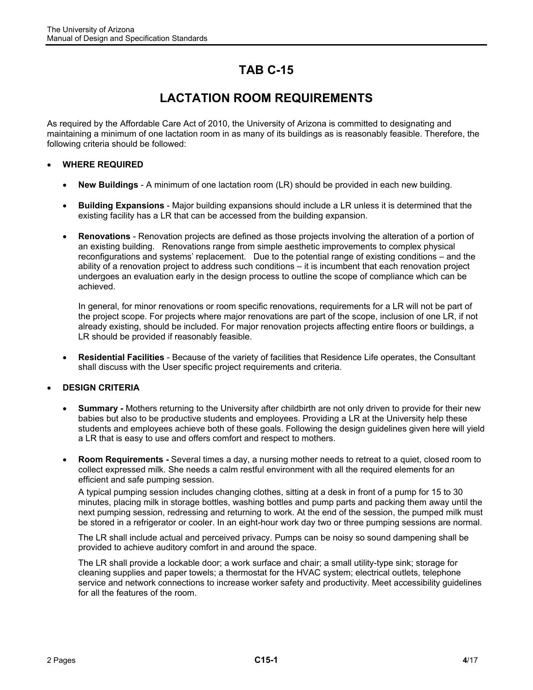## **TAB C-15**

## **LACTATION ROOM REQUIREMENTS**

As required by the Affordable Care Act of 2010, the University of Arizona is committed to designating and maintaining a minimum of one lactation room in as many of its buildings as is reasonably feasible. Therefore, the following criteria should be followed:

## **WHERE REQUIRED**

- **New Buildings** A minimum of one lactation room (LR) should be provided in each new building.
- **Building Expansions** Major building expansions should include a LR unless it is determined that the existing facility has a LR that can be accessed from the building expansion.
- **Renovations** Renovation projects are defined as those projects involving the alteration of a portion of an existing building. Renovations range from simple aesthetic improvements to complex physical reconfigurations and systems' replacement. Due to the potential range of existing conditions – and the ability of a renovation project to address such conditions – it is incumbent that each renovation project undergoes an evaluation early in the design process to outline the scope of compliance which can be achieved.

In general, for minor renovations or room specific renovations, requirements for a LR will not be part of the project scope. For projects where major renovations are part of the scope, inclusion of one LR, if not already existing, should be included. For major renovation projects affecting entire floors or buildings, a LR should be provided if reasonably feasible.

 **Residential Facilities** - Because of the variety of facilities that Residence Life operates, the Consultant shall discuss with the User specific project requirements and criteria.

## **DESIGN CRITERIA**

- **Summary -** Mothers returning to the University after childbirth are not only driven to provide for their new babies but also to be productive students and employees. Providing a LR at the University help these students and employees achieve both of these goals. Following the design guidelines given here will yield a LR that is easy to use and offers comfort and respect to mothers.
- **Room Requirements** Several times a day, a nursing mother needs to retreat to a quiet, closed room to collect expressed milk. She needs a calm restful environment with all the required elements for an efficient and safe pumping session.

A typical pumping session includes changing clothes, sitting at a desk in front of a pump for 15 to 30 minutes, placing milk in storage bottles, washing bottles and pump parts and packing them away until the next pumping session, redressing and returning to work. At the end of the session, the pumped milk must be stored in a refrigerator or cooler. In an eight-hour work day two or three pumping sessions are normal.

The LR shall include actual and perceived privacy. Pumps can be noisy so sound dampening shall be provided to achieve auditory comfort in and around the space.

The LR shall provide a lockable door; a work surface and chair; a small utility-type sink; storage for cleaning supplies and paper towels; a thermostat for the HVAC system; electrical outlets, telephone service and network connections to increase worker safety and productivity. Meet accessibility guidelines for all the features of the room.